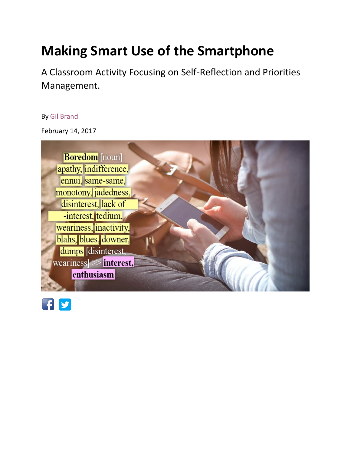# **Making Smart Use of the Smartphone**

A Classroom Activity Focusing on Self-Reflection and Priorities Management.

#### By [Gil Brand](https://www.gilbrand.co.il/english)

February 14, 2017



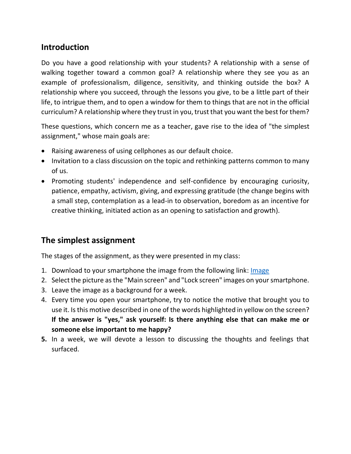## **Introduction**

Do you have a good relationship with your students? A relationship with a sense of walking together toward a common goal? A relationship where they see you as an example of professionalism, diligence, sensitivity, and thinking outside the box? A relationship where you succeed, through the lessons you give, to be a little part of their life, to intrigue them, and to open a window for them to things that are not in the official curriculum? A relationship where they trust in you, trust that you want the best for them?

These questions, which concern me as a teacher, gave rise to the idea of "the simplest assignment," whose main goals are:

- Raising awareness of using cellphones as our default choice.
- Invitation to a class discussion on the topic and rethinking patterns common to many of us.
- Promoting students' independence and self-confidence by encouraging curiosity, patience, empathy, activism, giving, and expressing gratitude (the change begins with a small step, contemplation as a lead-in to observation, boredom as an incentive for creative thinking, initiated action as an opening to satisfaction and growth).

## **The simplest assignment**

The stages of the assignment, as they were presented in my class:

- 1. Download to your smartphone the image from the following link: *Image*
- 2. Select the picture as the "Main screen" and "Lock screen" images on your smartphone.
- 3. Leave the image as a background for a week.
- 4. Every time you open your smartphone, try to notice the motive that brought you to use it. Is this motive described in one of the words highlighted in yellow on the screen? **If the answer is "yes," ask yourself: Is there anything else that can make me or someone else important to me happy?**
- **5.** In a week, we will devote a lesson to discussing the thoughts and feelings that surfaced.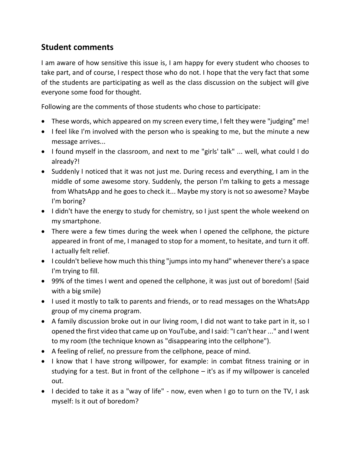#### **Student comments**

I am aware of how sensitive this issue is, I am happy for every student who chooses to take part, and of course, I respect those who do not. I hope that the very fact that some of the students are participating as well as the class discussion on the subject will give everyone some food for thought.

Following are the comments of those students who chose to participate:

- These words, which appeared on my screen every time, I felt they were "judging" me!
- I feel like I'm involved with the person who is speaking to me, but the minute a new message arrives...
- I found myself in the classroom, and next to me "girls' talk" ... well, what could I do already?!
- Suddenly I noticed that it was not just me. During recess and everything, I am in the middle of some awesome story. Suddenly, the person I'm talking to gets a message from WhatsApp and he goes to check it... Maybe my story is not so awesome? Maybe I'm boring?
- I didn't have the energy to study for chemistry, so I just spent the whole weekend on my smartphone.
- There were a few times during the week when I opened the cellphone, the picture appeared in front of me, I managed to stop for a moment, to hesitate, and turn it off. I actually felt relief.
- I couldn't believe how much this thing "jumps into my hand" whenever there's a space I'm trying to fill.
- 99% of the times I went and opened the cellphone, it was just out of boredom! (Said with a big smile)
- I used it mostly to talk to parents and friends, or to read messages on the WhatsApp group of my cinema program.
- A family discussion broke out in our living room, I did not want to take part in it, so I opened the first video that came up on YouTube, and I said: "I can't hear ..." and I went to my room (the technique known as "disappearing into the cellphone").
- A feeling of relief, no pressure from the cellphone, peace of mind.
- I know that I have strong willpower, for example: in combat fitness training or in studying for a test. But in front of the cellphone – it's as if my willpower is canceled out.
- I decided to take it as a "way of life" now, even when I go to turn on the TV, I ask myself: Is it out of boredom?